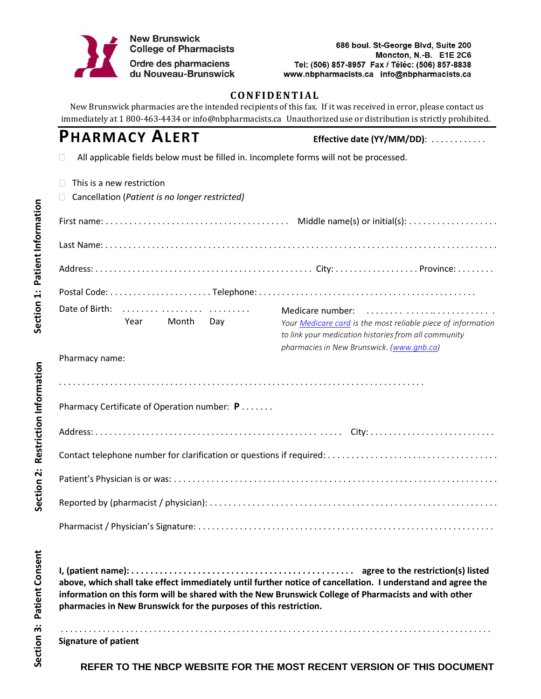

## **CONFIDENTIAL**

New Brunswick pharmacies are the intended recipients of this fax. If it was received in error, please contact us immediately at 1 800-463-4434 or [info@nbpharmacists.ca U](mailto:info@nbpharmacists.ca)nauthorized use or distribution is strictly prohibited.

# **PHARMACY ALERT Effective date (YY/MM/DD)**: . . . . . . . . . . . .

All applicable fields below must be filled in. Incomplete forms will not be processed.  $\Box$ 

| This is a new restriction<br>Cancellation (Patient is no longer restricted) |                                                                                                                                          |  |  |  |
|-----------------------------------------------------------------------------|------------------------------------------------------------------------------------------------------------------------------------------|--|--|--|
|                                                                             |                                                                                                                                          |  |  |  |
|                                                                             |                                                                                                                                          |  |  |  |
|                                                                             |                                                                                                                                          |  |  |  |
|                                                                             |                                                                                                                                          |  |  |  |
| Date of Birth:<br>Year Month Day                                            | Medicare number:<br>Your Medicare card is the most reliable piece of information<br>to link your medication histories from all community |  |  |  |
| Pharmacy name:                                                              | pharmacies in New Brunswick. (www.gnb.ca)                                                                                                |  |  |  |
|                                                                             |                                                                                                                                          |  |  |  |
| Pharmacy Certificate of Operation number: P                                 |                                                                                                                                          |  |  |  |
|                                                                             |                                                                                                                                          |  |  |  |
|                                                                             |                                                                                                                                          |  |  |  |
|                                                                             |                                                                                                                                          |  |  |  |
|                                                                             |                                                                                                                                          |  |  |  |
|                                                                             |                                                                                                                                          |  |  |  |
|                                                                             |                                                                                                                                          |  |  |  |
|                                                                             |                                                                                                                                          |  |  |  |

**above, which shall take effect immediately until further notice of cancellation. I understand and agree the information on this form will be shared with the New Brunswick College of Pharmacists and with other pharmacies in New Brunswick for the purposes of this restriction.**

**Signature of patient**

. . . . . . . . . . . . . . . . . . . . . . . . . . . . . . . . . . . . . . . . . . . . . . . . . . . . . . . . . . . . . . . . . . . . . . . . . . . . . . . . . . . . . . . . . . . . .

**REFER TO THE NBCP WEBSITE FOR THE MOST RECENT VERSION OF THIS DOCUMENT**